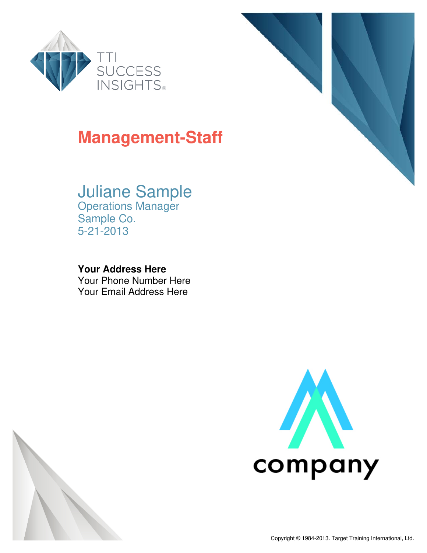



## Juliane Sample

Operations Manager Sample Co. 5-21-2013

### **Your Address Here**

Your Phone Number Here Your Email Address Here





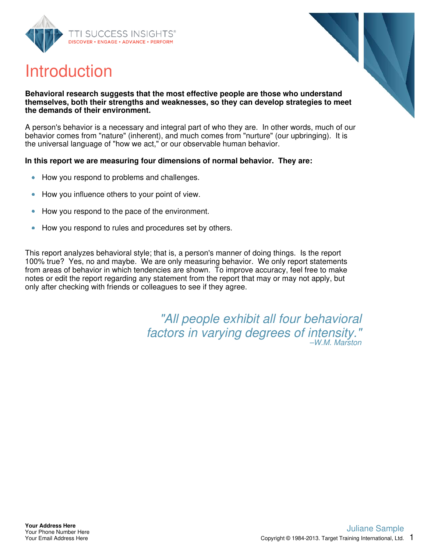





#### **Behavioral research suggests that the most effective people are those who understand themselves, both their strengths and weaknesses, so they can develop strategies to meet the demands of their environment.**

A person's behavior is a necessary and integral part of who they are. In other words, much of our behavior comes from "nature" (inherent), and much comes from "nurture" (our upbringing). It is the universal language of "how we act," or our observable human behavior.

#### **In this report we are measuring four dimensions of normal behavior. They are:**

- How you respond to problems and challenges.  $\bullet$
- How you influence others to your point of view.  $\bullet$
- How you respond to the pace of the environment.  $\bullet$
- How you respond to rules and procedures set by others.  $\bullet$

This report analyzes behavioral style; that is, a person's manner of doing things. Is the report 100% true? Yes, no and maybe. We are only measuring behavior. We only report statements from areas of behavior in which tendencies are shown. To improve accuracy, feel free to make notes or edit the report regarding any statement from the report that may or may not apply, but only after checking with friends or colleagues to see if they agree.

> "All people exhibit all four behavioral factors in varying degrees of intensity." –W.M. Marston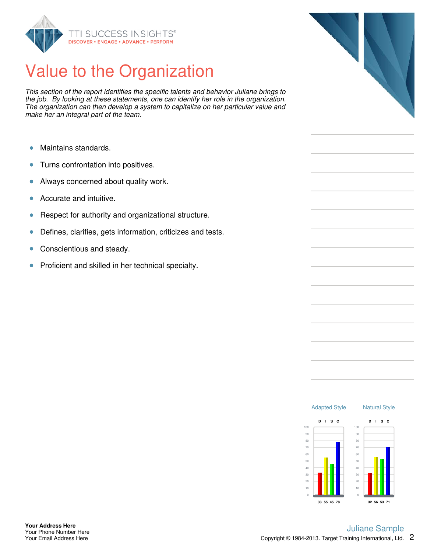

# Value to the Organization

This section of the report identifies the specific talents and behavior Juliane brings to the job. By looking at these statements, one can identify her role in the organization. The organization can then develop a system to capitalize on her particular value and make her an integral part of the team.

- Maintains standards.  $\bullet$
- Turns confrontation into positives.  $\bullet$
- Always concerned about quality work.  $\bullet$
- Accurate and intuitive.  $\bullet$
- Respect for authority and organizational structure.  $\bullet$
- Defines, clarifies, gets information, criticizes and tests.  $\bullet$
- $\bullet$ Conscientious and steady.
- Proficient and skilled in her technical specialty.  $\bullet$



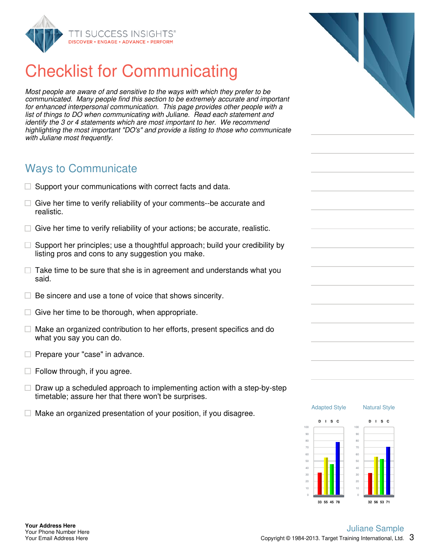

# Checklist for Communicating

Most people are aware of and sensitive to the ways with which they prefer to be communicated. Many people find this section to be extremely accurate and important for enhanced interpersonal communication. This page provides other people with a list of things to DO when communicating with Juliane. Read each statement and identify the 3 or 4 statements which are most important to her. We recommend highlighting the most important "DO's" and provide a listing to those who communicate with Juliane most frequently.

### Ways to Communicate

- $\Box$  Support your communications with correct facts and data.
- $\Box$  Give her time to verify reliability of your comments--be accurate and realistic.
- $\Box$  Give her time to verify reliability of your actions; be accurate, realistic.
- $\Box$  Support her principles; use a thoughtful approach; build your credibility by listing pros and cons to any suggestion you make.
- $\Box$  Take time to be sure that she is in agreement and understands what you said.
- $\Box$  Be sincere and use a tone of voice that shows sincerity.
- $\Box$  Give her time to be thorough, when appropriate.
- $\Box$  Make an organized contribution to her efforts, present specifics and do what you say you can do.
- $\Box$  Prepare your "case" in advance.
- $\Box$  Follow through, if you agree.
- $\Box$  Draw up a scheduled approach to implementing action with a step-by-step timetable; assure her that there won't be surprises.
- $\Box$  Make an organized presentation of your position, if you disagree.



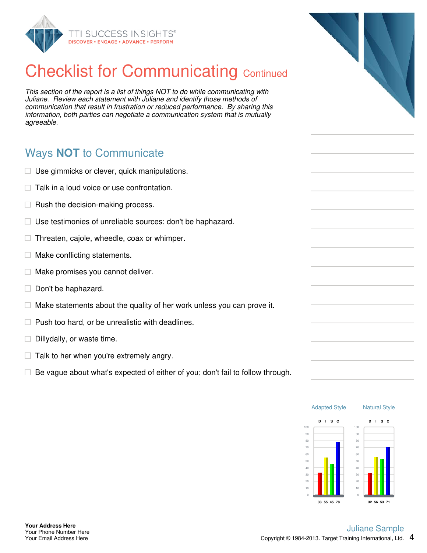

# **Checklist for Communicating Continued**

This section of the report is a list of things NOT to do while communicating with Juliane. Review each statement with Juliane and identify those methods of communication that result in frustration or reduced performance. By sharing this information, both parties can negotiate a communication system that is mutually agreeable.

### Ways **NOT** to Communicate

- $\Box$  Use gimmicks or clever, quick manipulations.
- $\Box$  Talk in a loud voice or use confrontation.
- $\Box$  Rush the decision-making process.
- $\Box$  Use testimonies of unreliable sources; don't be haphazard.
- $\Box$  Threaten, cajole, wheedle, coax or whimper.
- $\Box$  Make conflicting statements.
- $\Box$ Make promises you cannot deliver.
- $\Box$  Don't be haphazard.
- $\Box$  Make statements about the quality of her work unless you can prove it.
- $\Box$  Push too hard, or be unrealistic with deadlines.
- $\Box$  Dillydally, or waste time.
- $\Box$  Talk to her when you're extremely angry.
- $\Box$  Be vague about what's expected of either of you; don't fail to follow through.



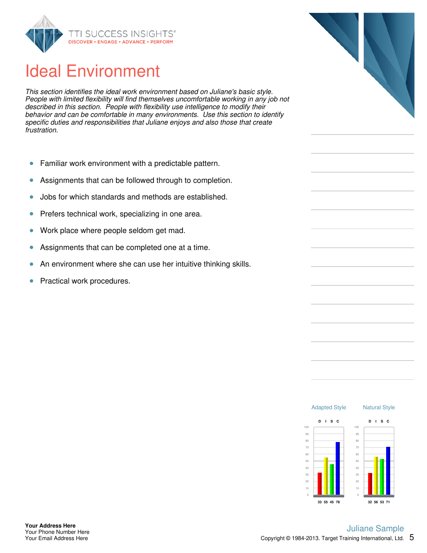

# Ideal Environment

This section identifies the ideal work environment based on Juliane's basic style. People with limited flexibility will find themselves uncomfortable working in any job not described in this section. People with flexibility use intelligence to modify their behavior and can be comfortable in many environments. Use this section to identify specific duties and responsibilities that Juliane enjoys and also those that create frustration.

- Familiar work environment with a predictable pattern.  $\bullet$
- Assignments that can be followed through to completion.  $\bullet$
- Jobs for which standards and methods are established.  $\bullet$
- $\bullet$ Prefers technical work, specializing in one area.
- Work place where people seldom get mad.  $\bullet$
- Assignments that can be completed one at a time.  $\bullet$
- An environment where she can use her intuitive thinking skills.  $\bullet$
- Practical work procedures.  $\bullet$



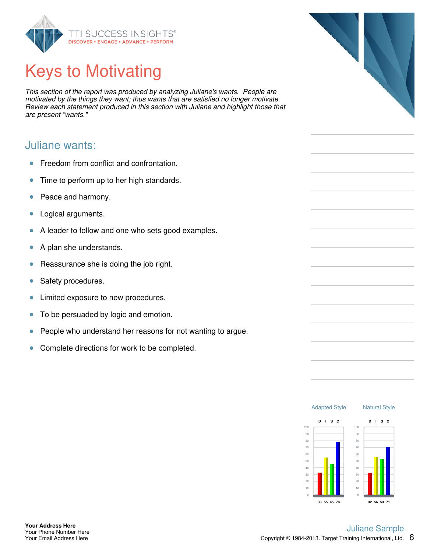

# Keys to Motivating

This section of the report was produced by analyzing Juliane's wants. People are motivated by the things they want; thus wants that are satisfied no longer motivate. Review each statement produced in this section with Juliane and highlight those that are present "wants."

### Juliane wants:

- Freedom from conflict and confrontation.  $\bullet$
- Time to perform up to her high standards.  $\bullet$
- Peace and harmony.  $\bullet$
- $\bullet$ Logical arguments.
- A leader to follow and one who sets good examples.  $\bullet$
- $\bullet$ A plan she understands.
- Reassurance she is doing the job right.  $\bullet$
- Safety procedures.  $\bullet$
- Limited exposure to new procedures.  $\bullet$
- To be persuaded by logic and emotion.  $\bullet$
- People who understand her reasons for not wanting to argue.  $\bullet$
- $\bullet$ Complete directions for work to be completed.

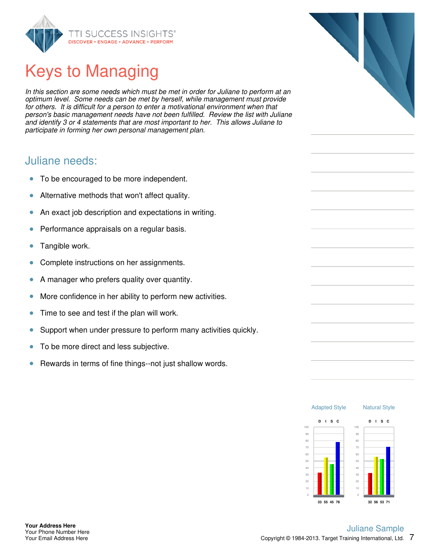

# Keys to Managing

In this section are some needs which must be met in order for Juliane to perform at an optimum level. Some needs can be met by herself, while management must provide for others. It is difficult for a person to enter a motivational environment when that person's basic management needs have not been fulfilled. Review the list with Juliane and identify 3 or 4 statements that are most important to her. This allows Juliane to participate in forming her own personal management plan.

### Juliane needs:

- $\bullet$ To be encouraged to be more independent.
- $\bullet$ Alternative methods that won't affect quality.
- An exact job description and expectations in writing.  $\bullet$
- $\bullet$ Performance appraisals on a regular basis.
- Tangible work.  $\bullet$
- Complete instructions on her assignments.  $\bullet$
- A manager who prefers quality over quantity.  $\bullet$
- More confidence in her ability to perform new activities.  $\bullet$
- Time to see and test if the plan will work.  $\bullet$
- Support when under pressure to perform many activities quickly.  $\bullet$
- To be more direct and less subjective.  $\bullet$
- Rewards in terms of fine things--not just shallow words.  $\bullet$



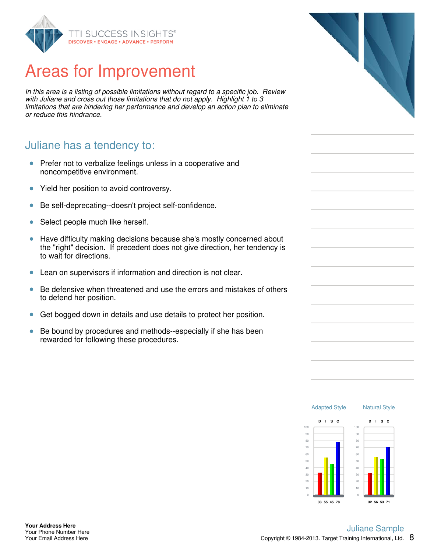

## Areas for Improvement

In this area is a listing of possible limitations without regard to a specific job. Review with Juliane and cross out those limitations that do not apply. Highlight 1 to 3 limitations that are hindering her performance and develop an action plan to eliminate or reduce this hindrance.

### Juliane has a tendency to:

- Prefer not to verbalize feelings unless in a cooperative and  $\bullet$ noncompetitive environment.
- Yield her position to avoid controversy.  $\bullet$
- Be self-deprecating--doesn't project self-confidence.  $\bullet$
- Select people much like herself.  $\bullet$
- Have difficulty making decisions because she's mostly concerned about  $\bullet$ the "right" decision. If precedent does not give direction, her tendency is to wait for directions.
- Lean on supervisors if information and direction is not clear.  $\bullet$
- $\bullet$ Be defensive when threatened and use the errors and mistakes of others to defend her position.
- Get bogged down in details and use details to protect her position.  $\bullet$
- $\bullet$ Be bound by procedures and methods--especially if she has been rewarded for following these procedures.



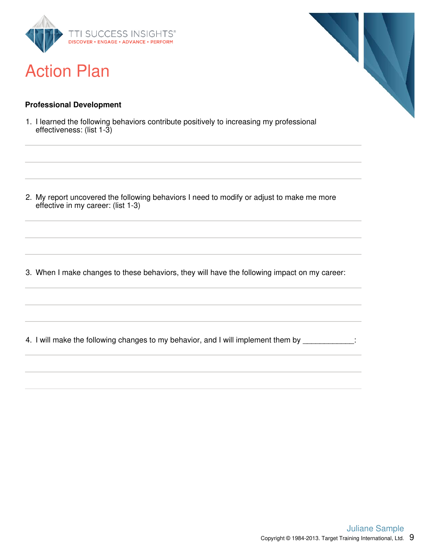

### Action Plan

#### **Professional Development**

1. I learned the following behaviors contribute positively to increasing my professional effectiveness: (list 1-3)

2. My report uncovered the following behaviors I need to modify or adjust to make me more effective in my career: (list 1-3)

3. When I make changes to these behaviors, they will have the following impact on my career:

4. I will make the following changes to my behavior, and I will implement them by

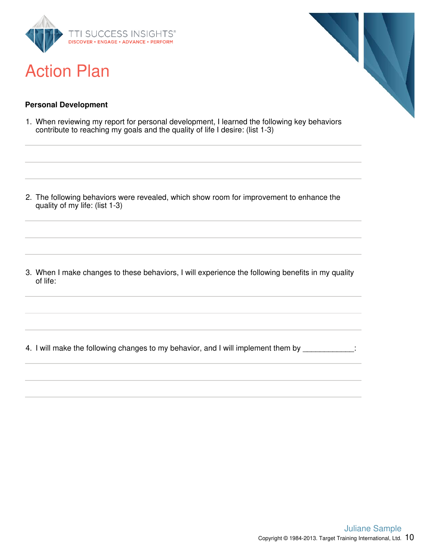

## Action Plan



#### **Personal Development**

1. When reviewing my report for personal development, I learned the following key behaviors contribute to reaching my goals and the quality of life I desire: (list 1-3)

2. The following behaviors were revealed, which show room for improvement to enhance the quality of my life: (list 1-3)

3. When I make changes to these behaviors, I will experience the following benefits in my quality of life:

4. I will make the following changes to my behavior, and I will implement them by \_\_\_\_\_\_\_\_\_\_\_\_: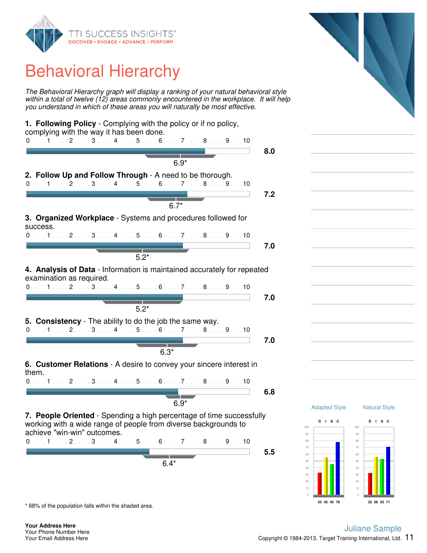

# Behavioral Hierarchy

The Behavioral Hierarchy graph will display a ranking of your natural behavioral style within a total of twelve (12) areas commonly encountered in the workplace. It will help you understand in which of these areas you will naturally be most effective.



\* 68% of the population falls within the shaded area.

#### Copyright  $@$  1984-2013. Target Training International, Ltd.  $11$ Juliane Sample

0

**32 56 53 71**

**33 55 45 78**

0

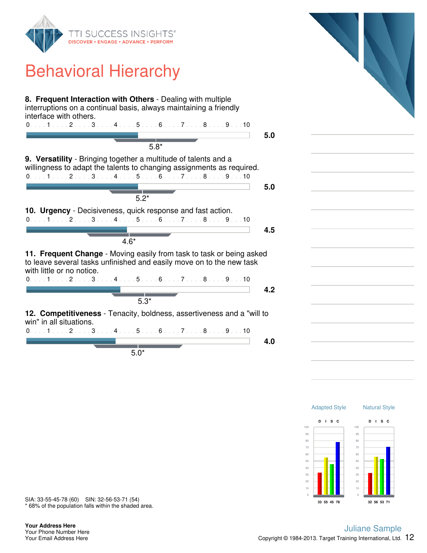

### Behavioral Hierarchy

| 8. Frequent Interaction with Others - Dealing with multiple<br>interruptions on a continual basis, always maintaining a friendly<br>interface with others.<br>$0, \ldots, 1, \ldots, 2, \ldots, 3, \ldots, 4, \ldots, 5, \ldots, 6, \ldots, 7, \ldots, 8, \ldots, 9, \ldots, 10$ | 5.0 |
|----------------------------------------------------------------------------------------------------------------------------------------------------------------------------------------------------------------------------------------------------------------------------------|-----|
| $5.8*$                                                                                                                                                                                                                                                                           |     |
| 9. Versatility - Bringing together a multitude of talents and a<br>willingness to adapt the talents to changing assignments as required.<br>$0.1.1.1.1.2.1.13.1.14.1.15.1.16.1.17.1.18.1.19.1.10$                                                                                |     |
|                                                                                                                                                                                                                                                                                  | 5.0 |
| $5.2*$                                                                                                                                                                                                                                                                           |     |
| 10. Urgency - Decisiveness, quick response and fast action.<br>$0.1.1.1.1.2.1.13.1.14.1.15.1.16.1.17.1.18.1.19.1.10$                                                                                                                                                             |     |
|                                                                                                                                                                                                                                                                                  | 4.5 |
| $4.6*$                                                                                                                                                                                                                                                                           |     |
| 11. Frequent Change - Moving easily from task to task or being asked<br>to leave several tasks unfinished and easily move on to the new task<br>with little or no notice.                                                                                                        |     |
| $0.1.1.1.1.2.1.13.1.14.1.15.1.16.1.17.1.18.1.19.1.10$                                                                                                                                                                                                                            |     |
| $5.3*$                                                                                                                                                                                                                                                                           | 4.2 |
|                                                                                                                                                                                                                                                                                  |     |
| 12. Competitiveness - Tenacity, boldness, assertiveness and a "will to<br>win" in all situations.                                                                                                                                                                                |     |
| $0.1.1.1.1.2.1.13.1.14.1.15.1.16.1.17.1.18.1.19.1.10$                                                                                                                                                                                                                            |     |
|                                                                                                                                                                                                                                                                                  | 4.0 |
| $5.0*$                                                                                                                                                                                                                                                                           |     |



\* 68% of the population falls within the shaded area. SIA: 33-55-45-78 (60) SIN: 32-56-53-71 (54)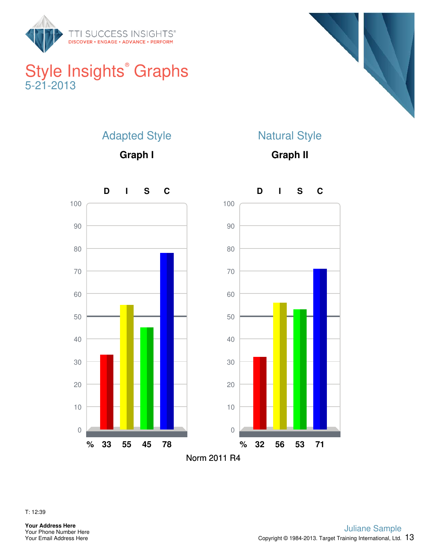

### Style Insights<sup>®</sup> Graphs 5-21-2013



### Adapted Style

**Graph I**

### Natural Style

**Graph II**



T: 12:39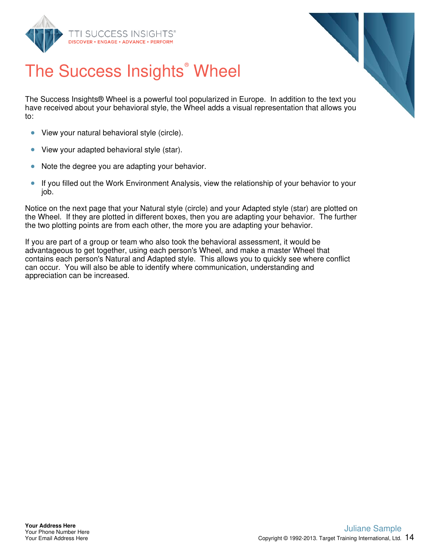



# The Success Insights<sup>®</sup> Wheel

The Success Insights® Wheel is a powerful tool popularized in Europe. In addition to the text you have received about your behavioral style, the Wheel adds a visual representation that allows you to:

- View your natural behavioral style (circle).  $\bullet$
- $\bullet$ View your adapted behavioral style (star).
- Note the degree you are adapting your behavior.  $\bullet$
- $\bullet$ If you filled out the Work Environment Analysis, view the relationship of your behavior to your job.

Notice on the next page that your Natural style (circle) and your Adapted style (star) are plotted on the Wheel. If they are plotted in different boxes, then you are adapting your behavior. The further the two plotting points are from each other, the more you are adapting your behavior.

If you are part of a group or team who also took the behavioral assessment, it would be advantageous to get together, using each person's Wheel, and make a master Wheel that contains each person's Natural and Adapted style. This allows you to quickly see where conflict can occur. You will also be able to identify where communication, understanding and appreciation can be increased.